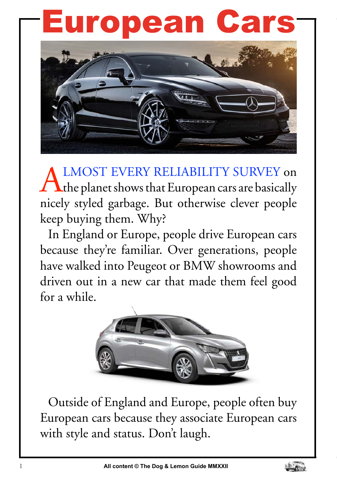## European Cars



ALMOST EVERY RELIABILITY SURVEY on the planet shows that European cars are basically nicely styled garbage. But otherwise clever people keep buying them. Why?

In England or Europe, people drive European cars because they're familiar. Over generations, people have walked into Peugeot or BMW showrooms and driven out in a new car that made them feel good for a while.



Outside of England and Europe, people often buy European cars because they associate European cars with style and status. Don't laugh.

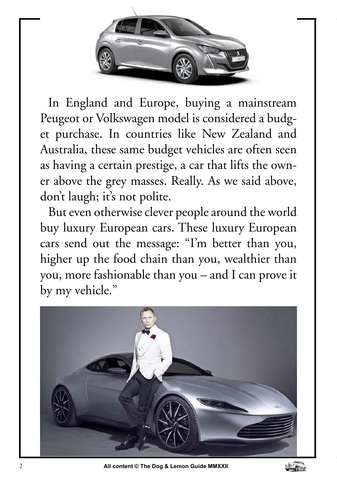

In England and Europe, buying a mainstream Peugeot or Volkswagen model is considered a budget purchase. In countries like New Zealand and Australia, these same budget vehicles are often seen as having a certain prestige, a car that lifts the owner above the grey masses. Really. As we said above, don't laugh; it's not polite.

But even otherwise clever people around the world buy luxury European cars. These luxury European cars send out the message: "I'm better than you, higher up the food chain than you, wealthier than you, more fashionable than you – and I can prove it by my vehicle."



2 **All content © The Dog & Lemon Guide MMXXII**

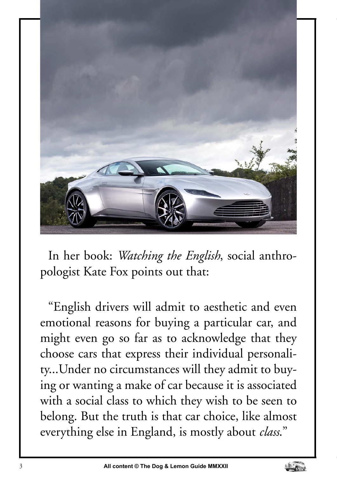

In her book: *Watching the English*, social anthropologist Kate Fox points out that:

"English drivers will admit to aesthetic and even emotional reasons for buying a particular car, and might even go so far as to acknowledge that they choose cars that express their individual personality...Under no circumstances will they admit to buying or wanting a make of car because it is associated with a social class to which they wish to be seen to belong. But the truth is that car choice, like almost everything else in England, is mostly about *class*."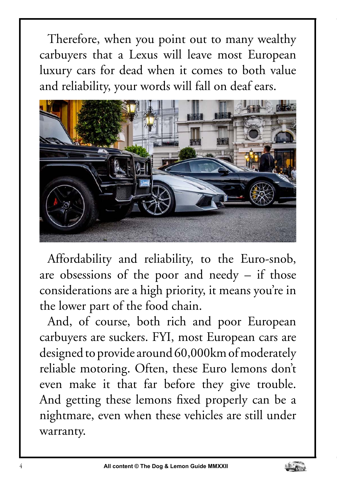Therefore, when you point out to many wealthy carbuyers that a Lexus will leave most European luxury cars for dead when it comes to both value and reliability, your words will fall on deaf ears.



Affordability and reliability, to the Euro-snob, are obsessions of the poor and needy – if those considerations are a high priority, it means you're in the lower part of the food chain.

And, of course, both rich and poor European carbuyers are suckers. FYI, most European cars are designed to provide around 60,000km of moderately reliable motoring. Often, these Euro lemons don't even make it that far before they give trouble. And getting these lemons fixed properly can be a nightmare, even when these vehicles are still under warranty.